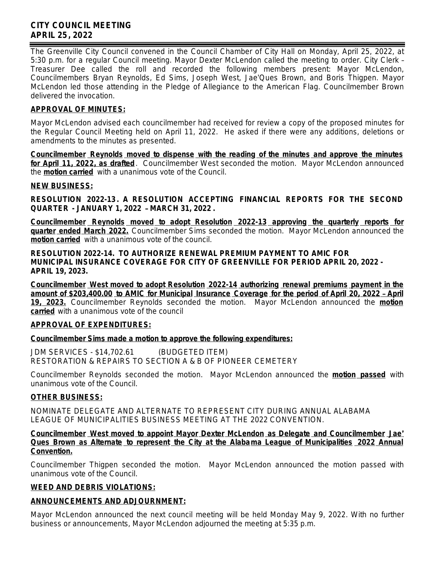# **CITY COUNCIL MEETING APRIL 25, 2022**

The Greenville City Council convened in the Council Chamber of City Hall on Monday, April 25, 2022, at 5:30 p.m. for a regular Council meeting. Mayor Dexter McLendon called the meeting to order. City Clerk – Treasurer Dee called the roll and recorded the following members present: Mayor McLendon, Councilmembers Bryan Reynolds, Ed Sims, Joseph West, Jae'Ques Brown, and Boris Thigpen. Mayor McLendon led those attending in the Pledge of Allegiance to the American Flag. Councilmember Brown delivered the invocation.

# **APPROVAL OF MINUTES:**

Mayor McLendon advised each councilmember had received for review a copy of the proposed minutes for the Regular Council Meeting held on April 11, 2022. He asked if there were any additions, deletions or amendments to the minutes as presented.

**Councilmember Reynolds moved to dispense with the reading of the minutes and approve the minutes for April 11, 2022, as drafted**. Councilmember West seconded the motion. Mayor McLendon announced the **motion carried** with a unanimous vote of the Council.

#### **NEW BUSINESS:**

**RESOLUTION 2022-13. A RESOLUTION ACCEPTING FINANCIAL REPORTS FOR THE SECOND QUARTER - JANUARY 1, 2022** – **MARCH 31, 2022 .**

**Councilmember Reynolds moved to adopt Resolution 2022-13 approving the quarterly reports for quarter ended March 2022.** Councilmember Sims seconded the motion. Mayor McLendon announced the **motion carried** with a unanimous vote of the council.

**RESOLUTION 2022-14. TO AUTHORIZE RENEWAL PREMIUM PAYMENT TO AMIC FOR MUNICIPAL INSURANCE COVERAGE FOR CITY OF GREENVILLE FOR PERIOD APRIL 20, 2022 - APRIL 19, 2023.**

**Councilmember West moved to adopt Resolution 2022-14 authorizing renewal premiums payment in the amount of \$203,400.00 to AMIC for Municipal Insurance Coverage for the period of April 20, 2022** – **April 19, 2023.** Councilmember Reynolds seconded the motion. Mayor McLendon announced the **motion carried** with a unanimous vote of the council

## **APPROVAL OF EXPENDITURES:**

## **Councilmember Sims made a motion to approve the following expenditures:**

JDM SERVICES - \$14,702.61 (BUDGETED ITEM) RESTORATION & REPAIRS TO SECTION A & B OF PIONEER CEMETERY

Councilmember Reynolds seconded the motion. Mayor McLendon announced the **motion passed** with unanimous vote of the Council.

## **OTHER BUSINESS:**

NOMINATE DELEGATE AND ALTERNATE TO REPRESENT CITY DURING ANNUAL ALABAMA LEAGUE OF MUNICIPALITIES BUSINESS MEETING AT THE 2022 CONVENTION.

#### **Councilmember West moved to appoint Mayor Dexter McLendon as Delegate and Councilmember Jae**' **Ques Brown as Alternate to represent the City at the Alabama League of Municipalities 2022 Annual Convention.**

Councilmember Thigpen seconded the motion. Mayor McLendon announced the motion passed with unanimous vote of the Council.

## **WEED AND DEBRIS VIOLATIONS:**

## **ANNOUNCEMENTS AND ADJOURNMENT:**

Mayor McLendon announced the next council meeting will be held Monday May 9, 2022. With no further business or announcements, Mayor McLendon adjourned the meeting at 5:35 p.m.